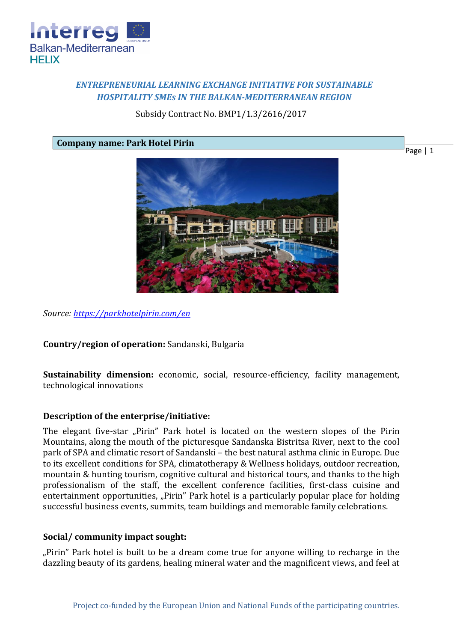

# *ENTREPRENEURIAL LEARNING EXCHANGE INITIATIVE FOR SUSTAINABLE HOSPITALITY SMEs IN THE BALKAN-MEDITERRANEAN REGION*

## Subsidy Contract No. BMP1/1.3/2616/2017

**Company name: Park Hotel Pirin**

Page | 1



*Source:<https://parkhotelpirin.com/en>*

## **Country/region of operation:** Sandanski, Bulgaria

**Sustainability dimension:** economic, social, resource-efficiency, facility management, technological innovations

## **Description of the enterprise/initiative:**

The elegant five-star "Pirin" Park hotel is located on the western slopes of the Pirin Mountains, along the mouth of the picturesque Sandanska Bistritsa River, next to the cool park of SPA and climatic resort of Sandanski – the best natural asthma clinic in Europe. Due to its excellent conditions for SPA, climatotherapy & Wellness holidays, outdoor recreation, mountain & hunting tourism, cognitive cultural and historical tours, and thanks to the high professionalism of the staff, the excellent conference facilities, first-class cuisine and entertainment opportunities, "Pirin" Park hotel is a particularly popular place for holding successful business events, summits, team buildings and memorable family celebrations.

#### **Social/ community impact sought:**

"Pirin" Park hotel is built to be a dream come true for anyone willing to recharge in the dazzling beauty of its gardens, healing mineral water and the magnificent views, and feel at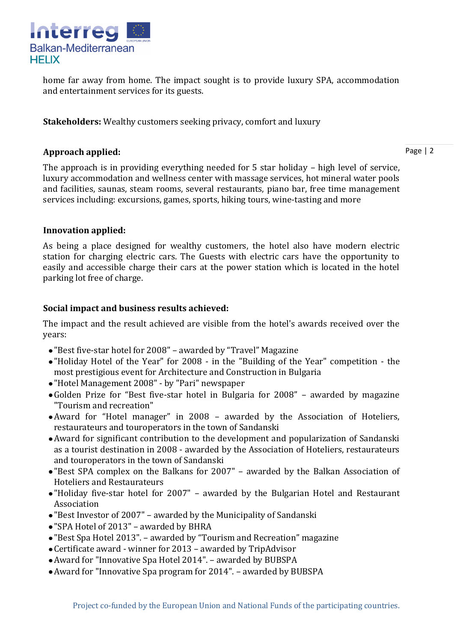

home far away from home. The impact sought is to provide luxury SPA, accommodation and entertainment services for its guests.

**Stakeholders:** Wealthy customers seeking privacy, comfort and luxury

## **Approach applied:**

Page | 2

The approach is in providing everything needed for 5 star holiday – high level of service, luxury accommodation and wellness center with massage services, hot mineral water pools and facilities, saunas, steam rooms, several restaurants, piano bar, free time management services including: excursions, games, sports, hiking tours, wine-tasting and more

## **Innovation applied:**

As being a place designed for wealthy customers, the hotel also have modern electric station for charging electric cars. The Guests with electric cars have the opportunity to easily and accessible charge their cars at the power station which is located in the hotel parking lot free of charge.

# **Social impact and business results achieved:**

The impact and the result achieved are visible from the hotel's awards received over the years:

- "Best five-star hotel for 2008" awarded by "Travel" Magazine
- "Holiday Hotel of the Year" for 2008 in the "Building of the Year" competition the most prestigious event for Architecture and Construction in Bulgaria
- "Hotel Management 2008" by "Pari" newspaper
- Golden Prize for "Best five-star hotel in Bulgaria for 2008" awarded by magazine "Tourism and recreation"
- Award for "Hotel manager" in 2008 awarded by the Association of Hoteliers, restaurateurs and touroperators in the town of Sandanski
- Award for significant contribution to the development and popularization of Sandanski as a tourist destination in 2008 - awarded by the Association of Hoteliers, restaurateurs and touroperators in the town of Sandanski
- "Best SPA complex on the Balkans for 2007" awarded by the Balkan Association of Hoteliers and Restaurateurs
- "Holiday five-star hotel for 2007" awarded by the Bulgarian Hotel and Restaurant Association
- "Best Investor of 2007" awarded by the Municipality of Sandanski
- "SPA Hotel of 2013" awarded by BHRA
- "Best Spa Hotel 2013". awarded by "Tourism and Recreation" magazine
- Certificate award winner for 2013 awarded by TripAdvisor
- Award for "Innovative Spa Hotel 2014". awarded by BUBSPA
- Award for "Innovative Spa program for 2014". awarded by BUBSPA